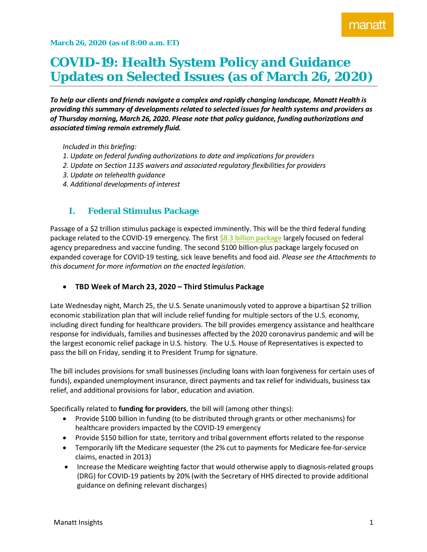# **COVID-19: Health System Policy and Guidance Updates on Selected Issues (as of March 26, 2020)**

*To help our clients and friends navigate a complex and rapidly changing landscape, Manatt Health is providing this summary of developments related to selected issues for health systems and providers as of Thursday morning, March 26, 2020. Please note that policy guidance, funding authorizations and associated timing remain extremely fluid.*

*Included in this briefing:*

- *1. Update on federal funding authorizations to date and implications for providers*
- *2. Update on Section 1135 waivers and associated regulatory flexibilities for providers*
- *3. Update on telehealth guidance*
- *4. Additional developments of interest*

### **I. Federal Stimulus Package**

Passage of a \$2 trillion stimulus package is expected imminently. This will be the third federal funding package related to the COVID-19 emergency. The first [\\$8.3 billion package](https://www.manatt.com/Insights/White-Papers/2020/First-COVID-Bill-Coronavirus-Preparedness) largely focused on federal agency preparedness and vaccine funding. The second \$100 billion-plus package largely focused on expanded coverage for COVID-19 testing, sick leave benefits and food aid. *Please see the Attachments to this document for more information on the enacted legislation.*

• **TBD Week of March 23, 2020 – Third Stimulus Package**

Late Wednesday night, March 25, the U.S. Senate unanimously voted to approve a bipartisan \$2 trillion economic stabilization plan that will include relief funding for multiple sectors of the U.S. economy, including direct funding for healthcare providers. The bill provides emergency assistance and healthcare response for individuals, families and businesses affected by the 2020 coronavirus pandemic and will be the largest economic relief package in U.S. history. The U.S. House of Representatives is expected to pass the bill on Friday, sending it to President Trump for signature.

The bill includes provisions for small businesses (including loans with loan forgiveness for certain uses of funds), expanded unemployment insurance, direct payments and tax relief for individuals, business tax relief, and additional provisions for labor, education and aviation.

Specifically related to **funding for providers**, the bill will (among other things):

- Provide \$100 billion in funding (to be distributed through grants or other mechanisms) for healthcare providers impacted by the COVID-19 emergency
- Provide \$150 billion for state, territory and tribal government efforts related to the response
- Temporarily lift the Medicare sequester (the 2% cut to payments for Medicare fee-for-service claims, enacted in 2013)
- Increase the Medicare weighting factor that would otherwise apply to diagnosis-related groups (DRG) for COVID-19 patients by 20% (with the Secretary of HHS directed to provide additional guidance on defining relevant discharges)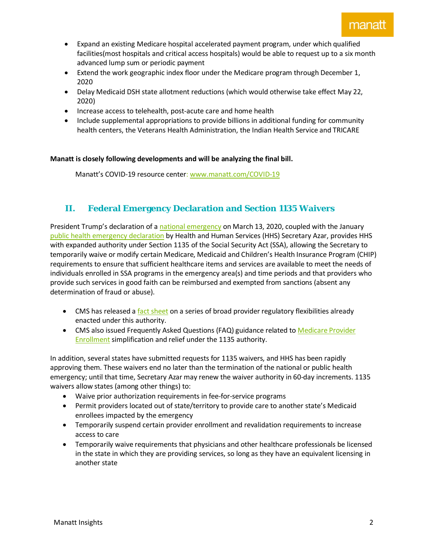- Expand an existing Medicare hospital accelerated payment program, under which qualified facilities(most hospitals and critical access hospitals) would be able to request up to a six month advanced lump sum or periodic payment
- Extend the work geographic index floor under the Medicare program through December 1, 2020
- Delay Medicaid DSH state allotment reductions (which would otherwise take effect May 22, 2020)
- Increase access to telehealth, post-acute care and home health
- Include supplemental appropriations to provide billions in additional funding for community health centers, the Veterans Health Administration, the Indian Health Service and TRICARE

**Manatt is closely following developments and will be analyzing the final bill.**

Manatt's COVID-19 resource center: [www.manatt.com/COVID-19](http://www.manatt.com/COVID-19)

### **II. Federal Emergency Declaration and Section 1135 Waivers**

President Trump's declaration of [a national emergency](https://www.whitehouse.gov/presidential-actions/proclamation-declaring-national-emergency-concerning-novel-coronavirus-disease-covid-19-outbreak/) on March 13, 2020, coupled with the January public health emergency declaration by Health and Human Services (HHS) Secretary Azar, provides HHS with expanded authority under Section 1135 of the Social Security Act (SSA), allowing the Secretary to temporarily waive or modify certain Medicare, Medicaid and Children's Health Insurance Program (CHIP) requirements to ensure that sufficient healthcare items and services are available to meet the needs of individuals enrolled in SSA programs in the emergency area(s) and time periods and that providers who provide such services in good faith can be reimbursed and exempted from sanctions (absent any determination of fraud or abuse).

- CMS has released a [fact sheet](https://www.cms.gov/files/document/covid19-emergency-declaration-health-care-providers-fact-sheet.pdf) on a series of broad provider regulatory flexibilities already enacted under this authority.
- CMS also issued Frequently Asked Questions (FAQ) guidance related to Medicare Provider [Enrollment](https://www.cms.gov/files/document/provider-enrollment-relief-faqs-covid-19.pdf) simplification and relief under the 1135 authority.

In addition, several states have submitted requests for 1135 waivers, and HHS has been rapidly approving them. These waivers end no later than the termination of the national or public health emergency; until that time, Secretary Azar may renew the waiver authority in 60-day increments. 1135 waivers allow states (among other things) to:

- Waive prior authorization requirements in fee-for-service programs
- Permit providers located out of state/territory to provide care to another state's Medicaid enrollees impacted by the emergency
- Temporarily suspend certain provider enrollment and revalidation requirements to increase access to care
- Temporarily waive requirements that physicians and other healthcare professionals be licensed in the state in which they are providing services, so long as they have an equivalent licensing in another state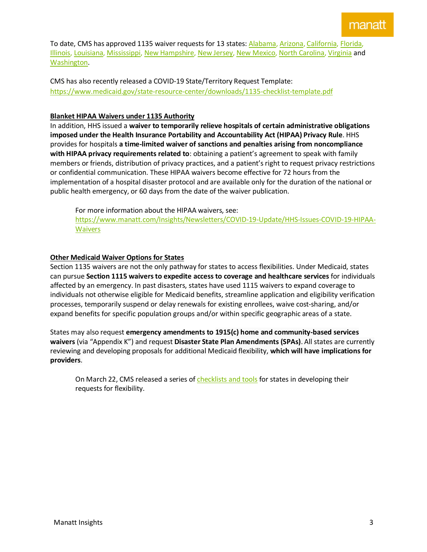To date, CMS has approved 1135 waiver requests for 13 states: [Alabama,](https://www.medicaid.gov/state-resource-center/disaster-response-toolkit/federal-disaster-resources/?entry=54029) [Arizona,](https://www.medicaid.gov/state-resource-center/disaster-response-toolkit/federal-disaster-resources/?entry=54034) [California,](https://www.medicaid.gov/state-resource-center/disaster-response-toolkit/federal-disaster-resources/?entry=54030) [Florida,](https://www.medicaid.gov/state-resource-center/disaster-response-toolkit/federal-disaster-resources/?entry=53995) [Illinois,](https://www.medicaid.gov/state-resource-center/disaster-response-toolkit/federal-disaster-resources/?entry=54039) [Louisiana,](https://www.medicaid.gov/state-resource-center/disaster-response-toolkit/federal-disaster-resources/?entry=54038) [Mississippi,](https://www.medicaid.gov/state-resource-center/disaster-response-toolkit/federal-disaster-resources/?entry=54037) [New Hampshire,](https://www.medicaid.gov/state-resource-center/disaster-response-toolkit/federal-disaster-resources/?entry=54031) [New Jersey,](https://www.medicaid.gov/state-resource-center/disaster-response-toolkit/federal-disaster-resources/?entry=54033) [New Mexico,](https://www.medicaid.gov/state-resource-center/disaster-response-toolkit/federal-disaster-resources/?entry=54032) [North Carolina,](https://www.medicaid.gov/state-resource-center/disaster-response-toolkit/federal-disaster-resources/?entry=54036) [Virginia](https://www.medicaid.gov/state-resource-center/disaster-response-toolkit/federal-disaster-resources/?entry=54035) and [Washington.](https://www.medicaid.gov/state-resource-center/disaster-response-toolkit/federal-disaster-resources/?entry=54022)

CMS has also recently released a COVID-19 State/Territory Request Template: <https://www.medicaid.gov/state-resource-center/downloads/1135-checklist-template.pdf>

### **Blanket HIPAA Waivers under 1135 Authority**

In addition, HHS issued a **waiver to temporarily relieve hospitals of certain administrative obligations imposed under the Health Insurance Portability and Accountability Act (HIPAA) Privacy Rule**. HHS provides for hospitals **a time-limited waiver of sanctions and penalties arising from noncompliance with HIPAA privacy requirements related to**: obtaining a patient's agreement to speak with family members or friends, distribution of privacy practices, and a patient's right to request privacy restrictions or confidential communication. These HIPAA waivers become effective for 72 hours from the implementation of a hospital disaster protocol and are available only for the duration of the national or public health emergency, or 60 days from the date of the waiver publication.

For more information about the HIPAA waivers, see: [https://www.manatt.com/Insights/Newsletters/COVID-19-Update/HHS-Issues-COVID-19-HIPAA-](https://www.manatt.com/Insights/Newsletters/COVID-19-Update/HHS-Issues-COVID-19-HIPAA-Waivers)**[Waivers](https://www.manatt.com/Insights/Newsletters/COVID-19-Update/HHS-Issues-COVID-19-HIPAA-Waivers)** 

### **Other Medicaid Waiver Options for States**

Section 1135 waivers are not the only pathway for states to access flexibilities. Under Medicaid, states can pursue **Section 1115 waivers to expedite access to coverage and healthcare services** for individuals affected by an emergency. In past disasters, states have used 1115 waivers to expand coverage to individuals not otherwise eligible for Medicaid benefits, streamline application and eligibility verification processes, temporarily suspend or delay renewals for existing enrollees, waive cost-sharing, and/or expand benefits for specific population groups and/or within specific geographic areas of a state.

States may also request **emergency amendments to 1915(c) home and community-based services waivers** (via "Appendix K") and request **Disaster State Plan Amendments (SPAs)**. All states are currently reviewing and developing proposals for additional Medicaid flexibility, **which will have implications for providers**.

On March 22, CMS released a series o[f checklists and tools](https://www.cms.gov/newsroom/press-releases/trump-administration-releases-covid-19-checklists-and-tools-accelerate-relief-state-medicaid-chip) for states in developing their requests for flexibility.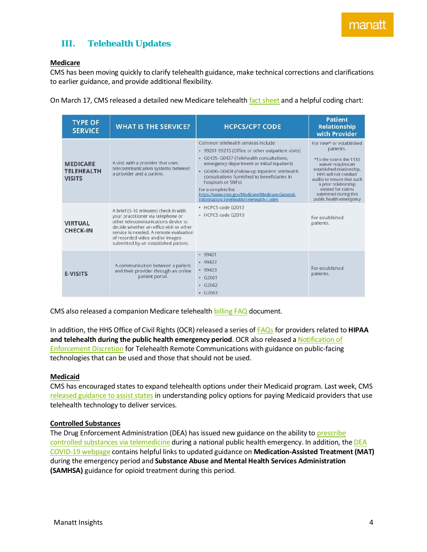### **III. Telehealth Updates**

### **Medicare**

CMS has been moving quickly to clarify telehealth guidance, make technical corrections and clarifications to earlier guidance, and provide additional flexibility.

On March 17, CMS released a detailed new Medicare telehealt[h fact sheet](https://www.cms.gov/newsroom/fact-sheets/medicare-telemedicine-health-care-provider-fact-sheet) and a helpful coding chart:

| <b>TYPE OF</b><br><b>SERVICE</b>                                                           | <b>WHAT IS THE SERVICE?</b>                                                                                                                                                                                                                                                                                                                                                             | <b>HCPCS/CPT CODE</b>                                                                                                                                                                                                                                                                                                                                                                                                                                                     | <b>Patient</b><br><b>Relationship</b><br>with Provider                                                                                                                                                                                                                                                     |
|--------------------------------------------------------------------------------------------|-----------------------------------------------------------------------------------------------------------------------------------------------------------------------------------------------------------------------------------------------------------------------------------------------------------------------------------------------------------------------------------------|---------------------------------------------------------------------------------------------------------------------------------------------------------------------------------------------------------------------------------------------------------------------------------------------------------------------------------------------------------------------------------------------------------------------------------------------------------------------------|------------------------------------------------------------------------------------------------------------------------------------------------------------------------------------------------------------------------------------------------------------------------------------------------------------|
| <b>MEDICARE</b><br><b>TELEHEALTH</b><br><b>VISITS</b><br><b>VIRTUAL</b><br><b>CHECK-IN</b> | A visit with a provider that uses<br>telecommunication systems between<br>a provider and a patient.<br>A brief (5-10 minutes) check in with<br>your practitioner via telephone or<br>other telecommunications device to<br>decide whether an office visit or other<br>service is needed. A remote evaluation<br>of recorded video and/or images<br>submitted by an established patient. | Common telehealth services include:<br>• 99201-99215 (Office or other outpatient visits)<br>· G0425-G0427 (Telehealth consultations,<br>emergency department or initial inpatient)<br>· G0406-G0408 (Follow-up inpatient telehealth<br>consultations furnished to beneficiaries in<br>hospitals or SNFs)<br>For a complete list:<br>https://www.cms.gov/Medicare/Medicare-General-<br>Information/Telehealth/Telehealth-Codes<br>· HCPCS code G2012<br>• HCPCS code G2010 | For new* or established<br>patients.<br>*To the extent the 1135<br>waiver requires an<br>established relationship,<br>HHS will not conduct<br>audits to ensure that such<br>a prior relationship<br>existed for claims<br>submitted during this<br>public health emergency<br>For established<br>patients. |
| <b>E-VISITS</b>                                                                            | A communication between a patient<br>and their provider through an online<br>patient portal.                                                                                                                                                                                                                                                                                            | $-99421$<br>$-99422$<br>$-99423$<br>$- G2061$<br>G2062<br>٠<br>$\cdot$ G <sub>2063</sub>                                                                                                                                                                                                                                                                                                                                                                                  | For established<br>patients.                                                                                                                                                                                                                                                                               |

CMS also released a companion Medicare telehealth [billing FAQ](https://www.cms.gov/files/document/medicare-telehealth-frequently-asked-questions-faqs-31720.pdf) document.

In addition, the HHS Office of Civil Rights (OCR) released a series of [FAQs](https://www.hhs.gov/sites/default/files/telehealth-faqs-508.pdf) for providers related to **[HIPAA](https://www.hhs.gov/sites/default/files/telehealth-faqs-508.pdf)  [and telehealth](https://www.hhs.gov/sites/default/files/telehealth-faqs-508.pdf) during the public health emergency period**. OCR also released a [Notification of](https://www.hhs.gov/hipaa/for-professionals/special-topics/emergency-preparedness/notification-enforcement-discretion-telehealth/index.html)  [Enforcement Discretion](https://www.hhs.gov/hipaa/for-professionals/special-topics/emergency-preparedness/notification-enforcement-discretion-telehealth/index.html) for Telehealth Remote Communications with guidance on public-facing technologies that can be used and those that should not be used.

#### **Medicaid**

CMS has encouraged states to expand telehealth options under their Medicaid program. Last week, CMS [released guidance to assist states](https://www.medicaid.gov/medicaid/benefits/downloads/medicaid-telehealth-services.pdf) in understanding policy options for paying Medicaid providers that use telehealth technology to deliver services.

### **Controlled Substances**

The Drug Enforcement Administration (DEA) has issued new guidance on the ability to prescribe [controlled substances via telemedicine](https://www.deadiversion.usdoj.gov/coronavirus.html) during a national public health emergency. In addition, the DEA [COVID-19](https://www.deadiversion.usdoj.gov/coronavirus.html) webpage contains helpful links to updated guidance on **Medication-Assisted Treatment (MAT)** during the emergency period and **Substance Abuse and Mental Health Services Administration (SAMHSA)** guidance for opioid treatment during this period.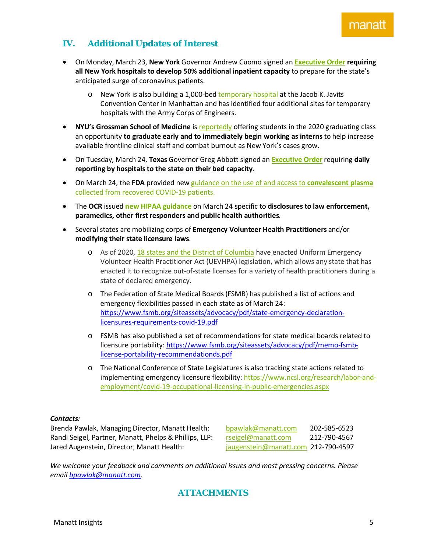## manati

### **IV. Additional Updates of Interest**

- On Monday, March 23, **New York** Governor Andrew Cuomo signed an **[Executive Order](https://www.governor.ny.gov/news/no-20210-continuing-temporary-suspension-and-modification-laws-relating-disaster-emergency) requiring all New York hospitals to develop 50% additional inpatient capacity** to prepare for the state's anticipated surge of coronavirus patients.
	- o New York is also building a 1,000-bed [temporary hospital](https://www.governor.ny.gov/news/amid-ongoing-covid-19-pandemic-governor-cuomo-announces-initial-delivery-equipment-and-supplies) at the Jacob K. Javits Convention Center in Manhattan and has identified four additional sites for temporary hospitals with the Army Corps of Engineers.
- **NYU's Grossman School of Medicine** i[s reportedly](https://www.beckershospitalreview.com/hospital-physician-relationships/nyu-medical-school-allowing-students-to-graduate-early-to-fight-covid-19.html) offering students in the 2020 graduating class an opportunity **to graduate early and to immediately begin working as interns** to help increase available frontline clinical staff and combat burnout as New York's cases grow.
- On Tuesday, March 24, **Texas** Governor Greg Abbott signed an **[Executive Order](https://gov.texas.gov/news/post/governor-abbott-issues-executive-order-to-strengthen-reporting-capabilities)** requiring **daily reporting by hospitals to the state on their bed capacity**.
- On March 24, the **FDA** provided new guidance on the use of and access to **convalescent plasma** collected from recovered COVID-19 patients.
- The **OCR** issued **[new HIPAA guidance](https://www.hhs.gov/sites/default/files/covid-19-hipaa-and-first-responders-508.pdf)** on March 24 specific to **disclosures to law enforcement, paramedics, other first responders and public health authorities**.
- Several states are mobilizing corps of **Emergency Volunteer Health Practitioners** and/or **modifying their state licensure laws**.
	- o As of 2020, 18 states and the District of [Columbia](https://www.facs.org/advocacy/state/uevhpa) have enacted Uniform Emergency Volunteer Health Practitioner Act (UEVHPA) legislation, which allows any state that has enacted it to recognize out-of-state licenses for a variety of health practitioners during a state of declared emergency.
	- o The Federation of State Medical Boards (FSMB) has published a list of actions and emergency flexibilities passed in each state as of March 24: [https://www.fsmb.org/siteassets/advocacy/pdf/state-emergency-declaration](https://www.fsmb.org/siteassets/advocacy/pdf/state-emergency-declaration-licensures-requirements-covid-19.pdf)[licensures-requirements-covid-19.pdf](https://www.fsmb.org/siteassets/advocacy/pdf/state-emergency-declaration-licensures-requirements-covid-19.pdf)
	- o FSMB has also published a set of recommendations for state medical boards related to licensure portability: [https://www.fsmb.org/siteassets/advocacy/pdf/memo-fsmb](https://www.fsmb.org/siteassets/advocacy/pdf/memo-fsmb-license-portability-recommendationds.pdf)[license-portability-recommendationds.pdf](https://www.fsmb.org/siteassets/advocacy/pdf/memo-fsmb-license-portability-recommendationds.pdf)
	- o The National Conference of State Legislatures is also tracking state actions related to implementing emergency licensure flexibility: [https://www.ncsl.org/research/labor-and](https://www.ncsl.org/research/labor-and-employment/covid-19-occupational-licensing-in-public-emergencies.aspx)[employment/covid-19-occupational-licensing-in-public-emergencies.aspx](https://www.ncsl.org/research/labor-and-employment/covid-19-occupational-licensing-in-public-emergencies.aspx)

### *Contacts:*

Brenda Pawlak, Managing Director, Manatt Health: [bpawlak@manatt.com](mailto:bpawlak@manatt.com) 202-585-6523 Randi Seigel, Partner, Manatt, Phelps & Phillips, LLP: [rseigel@manatt.com](mailto:rseigel@manatt.com) 212-790-4567 Jared Augenstein, Director, Manatt Health: [jaugenstein@manatt.com](mailto:jaugenstein@manatt.com) 212-790-4597

*We welcome your feedback and comments on additional issues and most pressing concerns. Please email [bpawlak@manatt.com.](mailto:bpawlak@manatt.com)*

### **ATTACHMENTS**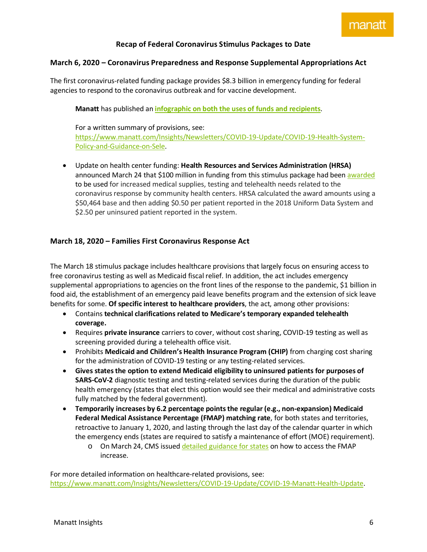### **Recap of Federal Coronavirus Stimulus Packages to Date**

### **March 6, 2020 – Coronavirus Preparedness and Response Supplemental Appropriations Act**

The first coronavirus-related funding package provides \$8.3 billion in emergency funding for federal agencies to respond to the coronavirus outbreak and for vaccine development.

**Manatt** has published an **[infographic on both the uses of funds and recipients](https://www.manatt.com/Manatt/media/Media/PDF/Manatt-1st-COVID-Bill-Infographic_v1.pdf)**.

For a written summary of provisions, see: [https://www.manatt.com/Insights/Newsletters/COVID-19-Update/COVID-19-Health-System-](https://www.manatt.com/Insights/Newsletters/COVID-19-Update/COVID-19-Health-System-Policy-and-Guidance-on-Sele)[Policy-and-Guidance-on-Sele.](https://www.manatt.com/Insights/Newsletters/COVID-19-Update/COVID-19-Health-System-Policy-and-Guidance-on-Sele)

• Update on health center funding: **Health Resources and Services Administration (HRSA)** announced March 24 that \$100 million in funding from this stimulus package had been [awarded](https://bphc.hrsa.gov/program-opportunities/coronavirus-disease-2019) to be used for increased medical supplies, testing and telehealth needs related to the coronavirus response by community health centers. HRSA calculated the award amounts using a \$50,464 base and then adding \$0.50 per patient reported in the 2018 Uniform Data System and \$2.50 per uninsured patient reported in the system.

### **March 18, 2020 – Families First Coronavirus Response Act**

The March 18 stimulus package includes healthcare provisions that largely focus on ensuring access to free coronavirus testing as well as Medicaid fiscal relief. In addition, the act includes emergency supplemental appropriations to agencies on the front lines of the response to the pandemic, \$1 billion in food aid, the establishment of an emergency paid leave benefits program and the extension of sick leave benefits for some. **Of specific interest to healthcare providers**, the act, among other provisions:

- Contains **technical clarifications related to Medicare's temporary expanded telehealth coverage.**
- Requires **private insurance** carriers to cover, without cost sharing, COVID-19 testing as well as screening provided during a telehealth office visit.
- Prohibits **Medicaid and Children's Health Insurance Program (CHIP)** from charging cost sharing for the administration of COVID-19 testing or any testing-related services.
- **Gives states the option to extend Medicaid eligibility to uninsured patients for purposes of SARS-CoV-2** diagnostic testing and testing-related services during the duration of the public health emergency (states that elect this option would see their medical and administrative costs fully matched by the federal government).
- **Temporarily increases by 6.2 percentage pointsthe regular (e.g., non-expansion) Medicaid Federal Medical Assistance Percentage (FMAP) matching rate**, for both states and territories, retroactive to January 1, 2020, and lasting through the last day of the calendar quarter in which the emergency ends (states are required to satisfy a maintenance of effort (MOE) requirement).
	- o On March 24, CMS issued [detailed guidance for states](https://www.medicaid.gov/state-resource-center/downloads/covid-19-section-6008-faqs.pdf) on how to access the FMAP increase.

For more detailed information on healthcare-related provisions, see: [https://www.manatt.com/Insights/Newsletters/COVID-19-Update/COVID-19-Manatt-Health-Update.](https://www.manatt.com/Insights/Newsletters/COVID-19-Update/COVID-19-Manatt-Health-Update)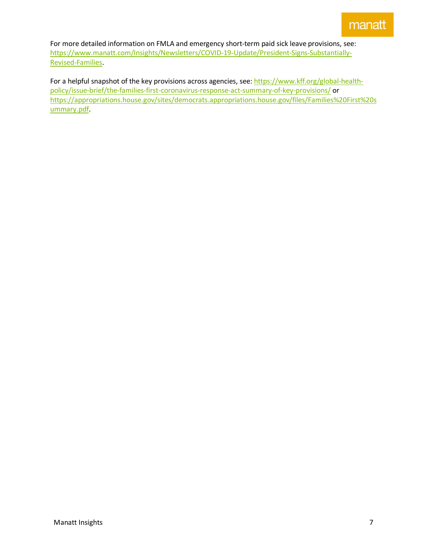For more detailed information on FMLA and emergency short-term paid sick leave provisions, see: [https://www.manatt.com/Insights/Newsletters/COVID-19-Update/President-Signs-Substantially-](https://www.manatt.com/Insights/Newsletters/COVID-19-Update/President-Signs-Substantially-Revised-Families)[Revised-Families.](https://www.manatt.com/Insights/Newsletters/COVID-19-Update/President-Signs-Substantially-Revised-Families)

For a helpful snapshot of the key provisions across agencies, see: [https://www.kff.org/global-health](https://www.kff.org/global-health-policy/issue-brief/the-families-first-coronavirus-response-act-summary-of-key-provisions/)[policy/issue-brief/the-families-first-coronavirus-response-act-summary-of-key-provisions/](https://www.kff.org/global-health-policy/issue-brief/the-families-first-coronavirus-response-act-summary-of-key-provisions/) or [https://appropriations.house.gov/sites/democrats.appropriations.house.gov/files/Families%20First%20s](https://appropriations.house.gov/sites/democrats.appropriations.house.gov/files/Families%20First%20summary.pdf) [ummary.pdf.](https://appropriations.house.gov/sites/democrats.appropriations.house.gov/files/Families%20First%20summary.pdf)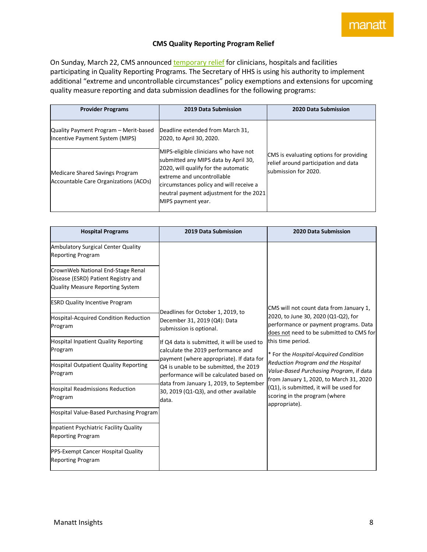manat

#### **CMS Quality Reporting Program Relief**

On Sunday, March 22, CMS announce[d temporary relief](https://www.cms.gov/newsroom/press-releases/cms-announces-relief-clinicians-providers-hospitals-and-facilities-participating-quality-reporting) for clinicians, hospitals and facilities participating in Quality Reporting Programs. The Secretary of HHS is using his authority to implement additional "extreme and uncontrollable circumstances" policy exemptions and extensions for upcoming quality measure reporting and data submission deadlines for the following programs:

| <b>Provider Programs</b>                                                 | 2019 Data Submission                                                                                                                                                                                                                                            | 2020 Data Submission                                                                                    |
|--------------------------------------------------------------------------|-----------------------------------------------------------------------------------------------------------------------------------------------------------------------------------------------------------------------------------------------------------------|---------------------------------------------------------------------------------------------------------|
| Quality Payment Program - Merit-based<br>Incentive Payment System (MIPS) | Deadline extended from March 31,<br>2020, to April 30, 2020.                                                                                                                                                                                                    |                                                                                                         |
| Medicare Shared Savings Program<br>Accountable Care Organizations (ACOs) | MIPS-eligible clinicians who have not<br>submitted any MIPS data by April 30,<br>2020, will qualify for the automatic<br>extreme and uncontrollable<br>circumstances policy and will receive a<br>neutral payment adjustment for the 2021<br>MIPS payment year. | CMS is evaluating options for providing<br>relief around participation and data<br>submission for 2020. |

| <b>Hospital Programs</b>                                                                                                                              | 2019 Data Submission                                                                                                                                                                                                                                                                                                                                                                                            | 2020 Data Submission                                                                                                                                                                                                                                                                                                                                                                                                                                       |
|-------------------------------------------------------------------------------------------------------------------------------------------------------|-----------------------------------------------------------------------------------------------------------------------------------------------------------------------------------------------------------------------------------------------------------------------------------------------------------------------------------------------------------------------------------------------------------------|------------------------------------------------------------------------------------------------------------------------------------------------------------------------------------------------------------------------------------------------------------------------------------------------------------------------------------------------------------------------------------------------------------------------------------------------------------|
| Ambulatory Surgical Center Quality<br><b>Reporting Program</b>                                                                                        |                                                                                                                                                                                                                                                                                                                                                                                                                 |                                                                                                                                                                                                                                                                                                                                                                                                                                                            |
| CrownWeb National End-Stage Renal<br>Disease (ESRD) Patient Registry and<br>Quality Measure Reporting System<br><b>ESRD Quality Incentive Program</b> | Deadlines for October 1, 2019, to<br>December 31, 2019 (Q4): Data<br>submission is optional.<br>If Q4 data is submitted, it will be used to<br>calculate the 2019 performance and<br>payment (where appropriate). If data for<br>Q4 is unable to be submitted, the 2019<br>performance will be calculated based on<br>data from January 1, 2019, to September<br>30, 2019 (Q1-Q3), and other available<br>data. | CMS will not count data from January 1,<br>2020, to June 30, 2020 (Q1-Q2), for<br>performance or payment programs. Data<br>does not need to be submitted to CMS for<br>this time period.<br>* For the Hospital-Acquired Condition<br>Reduction Program and the Hospital<br>Value-Based Purchasing Program, if data<br>from January 1, 2020, to March 31, 2020<br>(Q1), is submitted, it will be used for<br>scoring in the program (where<br>appropriate). |
| Hospital-Acquired Condition Reduction<br>Program                                                                                                      |                                                                                                                                                                                                                                                                                                                                                                                                                 |                                                                                                                                                                                                                                                                                                                                                                                                                                                            |
| <b>Hospital Inpatient Quality Reporting</b><br>Program                                                                                                |                                                                                                                                                                                                                                                                                                                                                                                                                 |                                                                                                                                                                                                                                                                                                                                                                                                                                                            |
| <b>Hospital Outpatient Quality Reporting</b><br>Program                                                                                               |                                                                                                                                                                                                                                                                                                                                                                                                                 |                                                                                                                                                                                                                                                                                                                                                                                                                                                            |
| <b>Hospital Readmissions Reduction</b><br>Program                                                                                                     |                                                                                                                                                                                                                                                                                                                                                                                                                 |                                                                                                                                                                                                                                                                                                                                                                                                                                                            |
| Hospital Value-Based Purchasing Program                                                                                                               |                                                                                                                                                                                                                                                                                                                                                                                                                 |                                                                                                                                                                                                                                                                                                                                                                                                                                                            |
| Inpatient Psychiatric Facility Quality<br><b>Reporting Program</b>                                                                                    |                                                                                                                                                                                                                                                                                                                                                                                                                 |                                                                                                                                                                                                                                                                                                                                                                                                                                                            |
| PPS-Exempt Cancer Hospital Quality<br><b>Reporting Program</b>                                                                                        |                                                                                                                                                                                                                                                                                                                                                                                                                 |                                                                                                                                                                                                                                                                                                                                                                                                                                                            |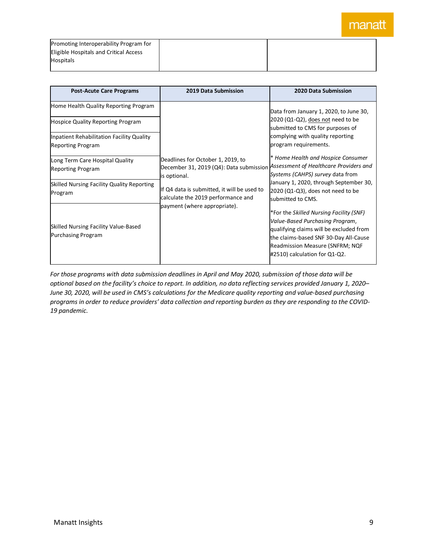| Promoting Interoperability Program for |  |
|----------------------------------------|--|
| Eligible Hospitals and Critical Access |  |
| <b>Hospitals</b>                       |  |
|                                        |  |

| <b>Post-Acute Care Programs</b>            | <b>2019 Data Submission</b>                                                       | <b>2020 Data Submission</b>                                           |
|--------------------------------------------|-----------------------------------------------------------------------------------|-----------------------------------------------------------------------|
| Home Health Quality Reporting Program      |                                                                                   | Data from January 1, 2020, to June 30,                                |
| <b>Hospice Quality Reporting Program</b>   |                                                                                   | 2020 (Q1-Q2), does not need to be<br>submitted to CMS for purposes of |
| Inpatient Rehabilitation Facility Quality  |                                                                                   | complying with quality reporting                                      |
| <b>Reporting Program</b>                   |                                                                                   | program requirements.                                                 |
| Long Term Care Hospital Quality            | Deadlines for October 1, 2019, to                                                 | * Home Health and Hospice Consumer                                    |
| <b>Reporting Program</b>                   | December 31, 2019 (Q4): Data submission                                           | Assessment of Healthcare Providers and                                |
|                                            | is optional.                                                                      | Systems (CAHPS) survey data from                                      |
| Skilled Nursing Facility Quality Reporting | If Q4 data is submitted, it will be used to<br>calculate the 2019 performance and | January 1, 2020, through September 30,                                |
| Program                                    |                                                                                   | 2020 (Q1-Q3), does not need to be                                     |
|                                            | payment (where appropriate).                                                      | submitted to CMS.                                                     |
|                                            |                                                                                   | *For the Skilled Nursing Facility (SNF)                               |
|                                            |                                                                                   | Value-Based Purchasing Program,                                       |
| Skilled Nursing Facility Value-Based       |                                                                                   | qualifying claims will be excluded from                               |
| Purchasing Program                         |                                                                                   | the claims-based SNF 30-Day All-Cause                                 |
|                                            |                                                                                   | Readmission Measure (SNFRM; NQF                                       |
|                                            |                                                                                   | #2510) calculation for Q1-Q2.                                         |
|                                            |                                                                                   |                                                                       |

*For those programs with data submission deadlines in April and May 2020, submission of those data will be optional based on the facility's choice to report. In addition, no data reflecting services provided January 1, 2020– June 30, 2020, will be used in CMS's calculations for the Medicare quality reporting and value-based purchasing programs in order to reduce providers' data collection and reporting burden as they are responding to the COVID-19 pandemic.*